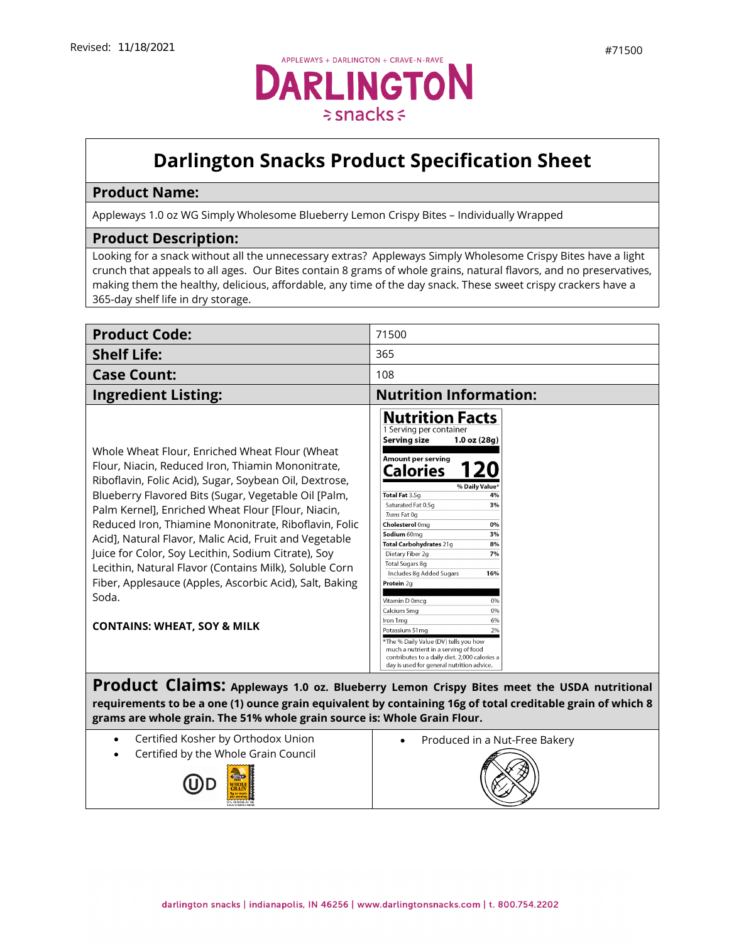

## **Darlington Snacks Product Specification Sheet**

## **Product Name:**

Appleways 1.0 oz WG Simply Wholesome Blueberry Lemon Crispy Bites – Individually Wrapped

## **Product Description:**

Looking for a snack without all the unnecessary extras? Appleways Simply Wholesome Crispy Bites have a light crunch that appeals to all ages. Our Bites contain 8 grams of whole grains, natural flavors, and no preservatives, making them the healthy, delicious, affordable, any time of the day snack. These sweet crispy crackers have a 365-day shelf life in dry storage.

| <b>Product Code:</b>                                                                                                                                                                                                                                                                                                                                                                                                                                                                                                                                                                                                          | 71500                                                                                                                                                                                                                                                                                                                                                                                                                                                                                                                                                                                                                                                                                                                                                               |
|-------------------------------------------------------------------------------------------------------------------------------------------------------------------------------------------------------------------------------------------------------------------------------------------------------------------------------------------------------------------------------------------------------------------------------------------------------------------------------------------------------------------------------------------------------------------------------------------------------------------------------|---------------------------------------------------------------------------------------------------------------------------------------------------------------------------------------------------------------------------------------------------------------------------------------------------------------------------------------------------------------------------------------------------------------------------------------------------------------------------------------------------------------------------------------------------------------------------------------------------------------------------------------------------------------------------------------------------------------------------------------------------------------------|
| <b>Shelf Life:</b>                                                                                                                                                                                                                                                                                                                                                                                                                                                                                                                                                                                                            | 365                                                                                                                                                                                                                                                                                                                                                                                                                                                                                                                                                                                                                                                                                                                                                                 |
| <b>Case Count:</b>                                                                                                                                                                                                                                                                                                                                                                                                                                                                                                                                                                                                            | 108                                                                                                                                                                                                                                                                                                                                                                                                                                                                                                                                                                                                                                                                                                                                                                 |
| <b>Ingredient Listing:</b>                                                                                                                                                                                                                                                                                                                                                                                                                                                                                                                                                                                                    | <b>Nutrition Information:</b>                                                                                                                                                                                                                                                                                                                                                                                                                                                                                                                                                                                                                                                                                                                                       |
| Whole Wheat Flour, Enriched Wheat Flour (Wheat<br>Flour, Niacin, Reduced Iron, Thiamin Mononitrate,<br>Riboflavin, Folic Acid), Sugar, Soybean Oil, Dextrose,<br>Blueberry Flavored Bits (Sugar, Vegetable Oil [Palm,<br>Palm Kernel], Enriched Wheat Flour [Flour, Niacin,<br>Reduced Iron, Thiamine Mononitrate, Riboflavin, Folic<br>Acid], Natural Flavor, Malic Acid, Fruit and Vegetable<br>Juice for Color, Soy Lecithin, Sodium Citrate), Soy<br>Lecithin, Natural Flavor (Contains Milk), Soluble Corn<br>Fiber, Applesauce (Apples, Ascorbic Acid), Salt, Baking<br>Soda.<br><b>CONTAINS: WHEAT, SOY &amp; MILK</b> | <b>Nutrition Facts</b><br>1 Serving per container<br>Serving size<br>$1.0$ oz $(28g)$<br>Amount per serving<br>Calories<br>% Daily Value*<br>Total Fat 3.5g<br>4%<br>Saturated Fat 0.5q<br>3%<br>Trans Fat 0q<br>Cholesterol 0mg<br>0%<br>Sodium 60mg<br>3%<br>Total Carbohydrates 21g<br>8%<br>Dietary Fiber 2g<br>7%<br><b>Total Sugars 8g</b><br>Includes 8q Added Sugars<br>16%<br>Protein 2g<br>Vitamin D 0mcg<br>0%<br>Calcium 5mg<br>0%<br>Iron 1ma<br>6%<br>2%<br>Potassium 51mg<br>*The % Daily Value (DV) tells you how<br>much a nutrient in a serving of food<br>contributes to a daily diet. 2,000 calories a<br>day is used for general nutrition advice.<br>Product Claims: Appleways 1.0 oz. Blueberry Lemon Crispy Bites meet the USDA nutritional |

**requirements to be a one (1) ounce grain equivalent by containing 16g of total creditable grain of which 8 grams are whole grain. The 51% whole grain source is: Whole Grain Flour.**

- Certified Kosher by Orthodox Union
- Certified by the Whole Grain Council



• [Produced](https://darlingtonfarms.serverdata.net/Marketing/Product/Internal%20Spec%20Sheets%20DO%20NOT%20USE!/Vending%20Appleways%20Spec%20Sheet%20-%2070120%20-%201%202%20oz%20-%20Apple%20Oatmeal.doc) in a Nut-Free Bakery